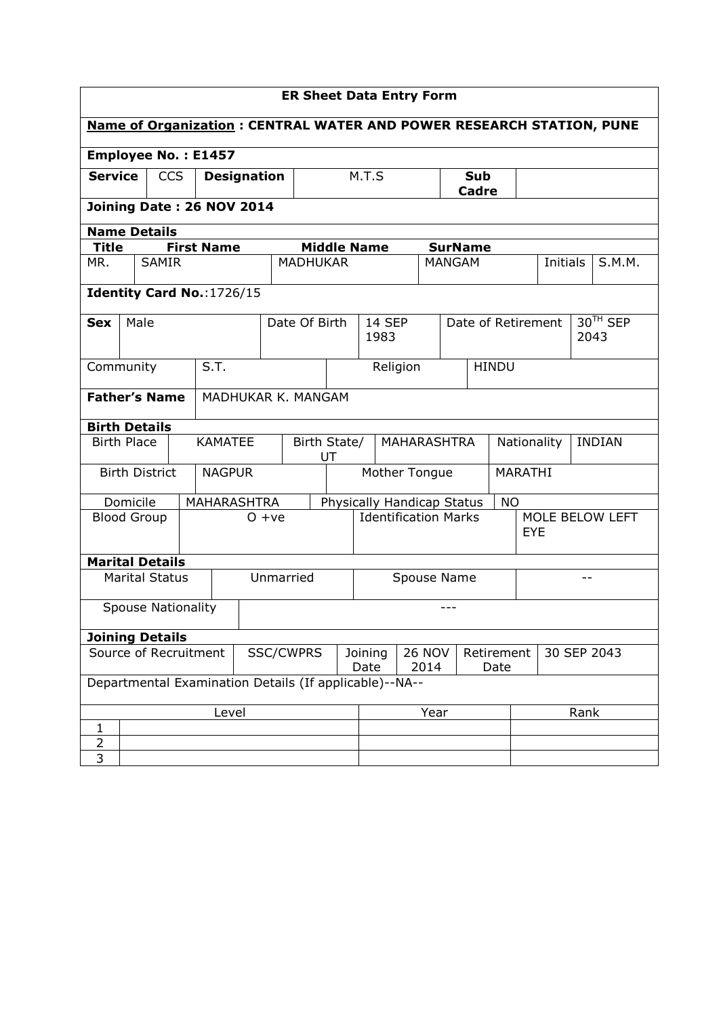| <b>ER Sheet Data Entry Form</b>                                                                                     |                           |                           |  |                            |                                        |                    |                                   |             |                    |                     |      |               |                               |                      |      |          |  |        |
|---------------------------------------------------------------------------------------------------------------------|---------------------------|---------------------------|--|----------------------------|----------------------------------------|--------------------|-----------------------------------|-------------|--------------------|---------------------|------|---------------|-------------------------------|----------------------|------|----------|--|--------|
| <b>Name of Organization: CENTRAL WATER AND POWER RESEARCH STATION, PUNE</b>                                         |                           |                           |  |                            |                                        |                    |                                   |             |                    |                     |      |               |                               |                      |      |          |  |        |
|                                                                                                                     |                           |                           |  | <b>Employee No.: E1457</b> |                                        |                    |                                   |             |                    |                     |      |               |                               |                      |      |          |  |        |
| <b>Service</b><br><b>CCS</b><br><b>Designation</b>                                                                  |                           |                           |  |                            |                                        |                    |                                   | M.T.S       |                    | <b>Sub</b><br>Cadre |      |               |                               |                      |      |          |  |        |
|                                                                                                                     | Joining Date: 26 NOV 2014 |                           |  |                            |                                        |                    |                                   |             |                    |                     |      |               |                               |                      |      |          |  |        |
| <b>Name Details</b>                                                                                                 |                           |                           |  |                            |                                        |                    |                                   |             |                    |                     |      |               |                               |                      |      |          |  |        |
| <b>Title</b>                                                                                                        |                           |                           |  | <b>First Name</b>          |                                        |                    |                                   |             | <b>Middle Name</b> |                     |      |               | <b>SurName</b>                |                      |      |          |  |        |
| MR.                                                                                                                 |                           | <b>SAMIR</b>              |  |                            |                                        | <b>MADHUKAR</b>    |                                   |             |                    |                     |      | <b>MANGAM</b> |                               |                      |      | Initials |  | S.M.M. |
| Identity Card No.: 1726/15                                                                                          |                           |                           |  |                            |                                        |                    |                                   |             |                    |                     |      |               |                               |                      |      |          |  |        |
| <b>Sex</b>                                                                                                          | Male                      |                           |  |                            | Date Of Birth<br><b>14 SEP</b><br>1983 |                    |                                   |             | Date of Retirement |                     |      |               | 2043                          | 30 <sup>TH</sup> SEP |      |          |  |        |
| S.T.<br>Community                                                                                                   |                           |                           |  |                            | <b>HINDU</b><br>Religion               |                    |                                   |             |                    |                     |      |               |                               |                      |      |          |  |        |
| <b>Father's Name</b>                                                                                                |                           |                           |  |                            |                                        | MADHUKAR K. MANGAM |                                   |             |                    |                     |      |               |                               |                      |      |          |  |        |
| <b>Birth Details</b>                                                                                                |                           |                           |  |                            |                                        |                    |                                   |             |                    |                     |      |               |                               |                      |      |          |  |        |
|                                                                                                                     | <b>Birth Place</b>        |                           |  | <b>KAMATEE</b>             |                                        |                    | Birth State/<br>MAHARASHTRA<br>UT |             |                    |                     |      |               | <b>INDIAN</b><br>Nationality  |                      |      |          |  |        |
|                                                                                                                     |                           | <b>Birth District</b>     |  | <b>NAGPUR</b>              |                                        |                    | Mother Tongue                     |             |                    |                     |      |               | MARATHI                       |                      |      |          |  |        |
|                                                                                                                     | Domicile                  |                           |  | MAHARASHTRA                |                                        |                    | Physically Handicap Status        |             |                    |                     |      | <b>NO</b>     |                               |                      |      |          |  |        |
|                                                                                                                     | <b>Blood Group</b>        |                           |  |                            |                                        | $O + ve$           | <b>Identification Marks</b>       |             |                    |                     |      |               | MOLE BELOW LEFT<br><b>EYE</b> |                      |      |          |  |        |
| <b>Marital Details</b>                                                                                              |                           |                           |  |                            |                                        |                    |                                   |             |                    |                     |      |               |                               |                      |      |          |  |        |
|                                                                                                                     |                           | <b>Marital Status</b>     |  |                            |                                        | Unmarried          |                                   | Spouse Name |                    |                     |      |               |                               |                      |      |          |  |        |
|                                                                                                                     |                           | <b>Spouse Nationality</b> |  |                            |                                        |                    |                                   |             |                    |                     |      |               |                               |                      |      |          |  |        |
| <b>Joining Details</b>                                                                                              |                           |                           |  |                            |                                        |                    |                                   |             |                    |                     |      |               |                               |                      |      |          |  |        |
| Source of Recruitment<br>SSC/CWPRS<br>Joining<br><b>26 NOV</b><br>Retirement<br>30 SEP 2043<br>Date<br>2014<br>Date |                           |                           |  |                            |                                        |                    |                                   |             |                    |                     |      |               |                               |                      |      |          |  |        |
| Departmental Examination Details (If applicable)--NA--                                                              |                           |                           |  |                            |                                        |                    |                                   |             |                    |                     |      |               |                               |                      |      |          |  |        |
|                                                                                                                     |                           |                           |  | Level                      |                                        |                    |                                   |             |                    |                     | Year |               |                               |                      | Rank |          |  |        |
| $\mathbf{1}$                                                                                                        |                           |                           |  |                            |                                        |                    |                                   |             |                    |                     |      |               |                               |                      |      |          |  |        |
| $\overline{2}$                                                                                                      |                           |                           |  |                            |                                        |                    |                                   |             |                    |                     |      |               |                               |                      |      |          |  |        |
| 3                                                                                                                   |                           |                           |  |                            |                                        |                    |                                   |             |                    |                     |      |               |                               |                      |      |          |  |        |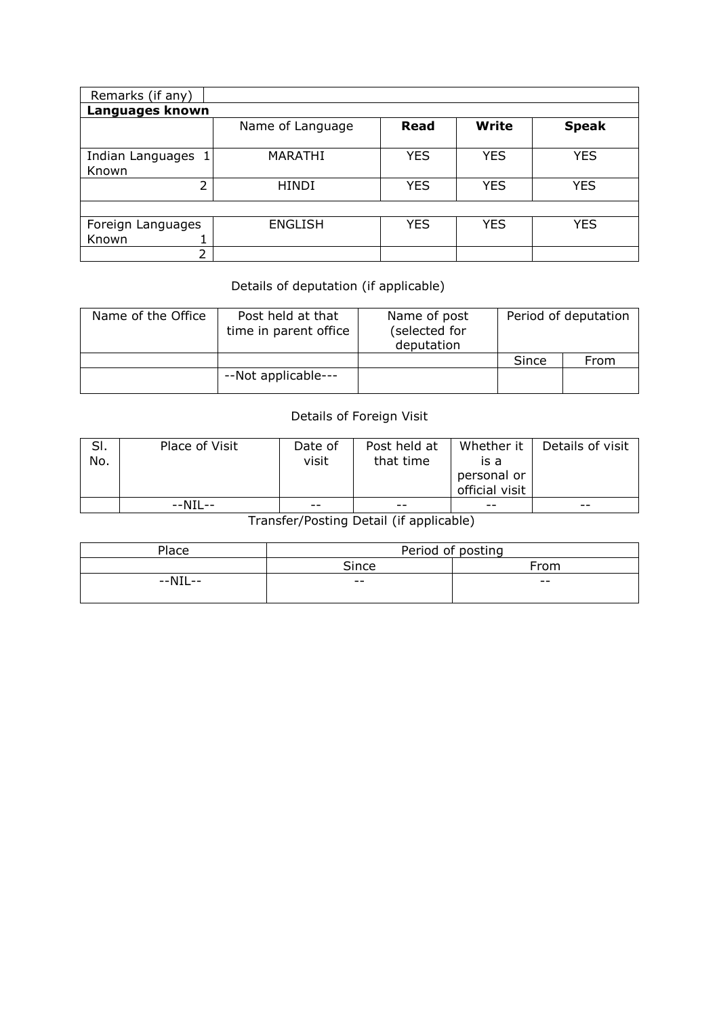| Remarks (if any)           |                  |            |            |              |  |  |  |  |  |  |  |  |  |
|----------------------------|------------------|------------|------------|--------------|--|--|--|--|--|--|--|--|--|
| Languages known            |                  |            |            |              |  |  |  |  |  |  |  |  |  |
|                            | Name of Language | Read       | Write      | <b>Speak</b> |  |  |  |  |  |  |  |  |  |
| Indian Languages<br>Known  | <b>MARATHI</b>   | <b>YES</b> | <b>YES</b> | <b>YES</b>   |  |  |  |  |  |  |  |  |  |
| 2                          | <b>HINDI</b>     | <b>YES</b> | <b>YES</b> | <b>YES</b>   |  |  |  |  |  |  |  |  |  |
|                            |                  |            |            |              |  |  |  |  |  |  |  |  |  |
| Foreign Languages<br>Known | <b>ENGLISH</b>   | <b>YES</b> | <b>YES</b> | <b>YES</b>   |  |  |  |  |  |  |  |  |  |
| 2                          |                  |            |            |              |  |  |  |  |  |  |  |  |  |

## Details of deputation (if applicable)

| Name of the Office | Post held at that<br>time in parent office | Name of post<br>(selected for<br>deputation |       | Period of deputation |
|--------------------|--------------------------------------------|---------------------------------------------|-------|----------------------|
|                    |                                            |                                             | Since | From                 |
|                    | --Not applicable---                        |                                             |       |                      |

## Details of Foreign Visit

| SI.<br>No. | Place of Visit | Date of<br>visit | Post held at<br>that time | is a<br>personal or<br>official visit | Whether it $\parallel$ Details of visit |
|------------|----------------|------------------|---------------------------|---------------------------------------|-----------------------------------------|
|            | $--NIL--$      | $- -$            | $- -$                     | $- -$                                 | $- -$                                   |

Transfer/Posting Detail (if applicable)

| Place   | Period of posting |       |  |  |  |  |  |
|---------|-------------------|-------|--|--|--|--|--|
|         | Since             | From  |  |  |  |  |  |
| --NIL-- | $- -$             | $- -$ |  |  |  |  |  |
|         |                   |       |  |  |  |  |  |